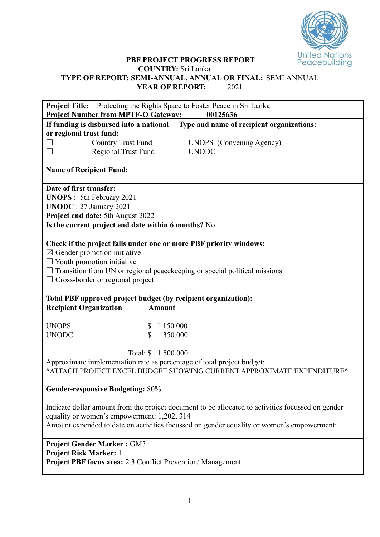

## **PBF PROJECT PROGRESS REPORT COUNTRY:** Sri Lanka **TYPE OF REPORT: SEMI-ANNUAL, ANNUAL OR FINAL:** SEMI ANNUAL **YEAR OF REPORT:** 2021

| <b>Project Title:</b> Protecting the Rights Space to Foster Peace in Sri Lanka                                                                                                                                                                                                     |                                                                       |  |  |  |  |  |  |
|------------------------------------------------------------------------------------------------------------------------------------------------------------------------------------------------------------------------------------------------------------------------------------|-----------------------------------------------------------------------|--|--|--|--|--|--|
| <b>Project Number from MPTF-O Gateway:</b>                                                                                                                                                                                                                                         | 00125636                                                              |  |  |  |  |  |  |
| If funding is disbursed into a national                                                                                                                                                                                                                                            | Type and name of recipient organizations:                             |  |  |  |  |  |  |
| or regional trust fund:                                                                                                                                                                                                                                                            |                                                                       |  |  |  |  |  |  |
| <b>Country Trust Fund</b>                                                                                                                                                                                                                                                          | <b>UNOPS</b> (Convening Agency)                                       |  |  |  |  |  |  |
| $\Box$<br>Regional Trust Fund                                                                                                                                                                                                                                                      | <b>UNODC</b>                                                          |  |  |  |  |  |  |
| <b>Name of Recipient Fund:</b>                                                                                                                                                                                                                                                     |                                                                       |  |  |  |  |  |  |
| Date of first transfer:<br><b>UNOPS</b> : 5th February 2021<br><b>UNODC</b> : 27 January 2021<br>Project end date: 5th August 2022<br>Is the current project end date within 6 months? No                                                                                          |                                                                       |  |  |  |  |  |  |
| Check if the project falls under one or more PBF priority windows:<br>$\boxtimes$ Gender promotion initiative<br>$\Box$ Youth promotion initiative<br>$\Box$ Transition from UN or regional peace keeping or special political missions<br>$\Box$ Cross-border or regional project |                                                                       |  |  |  |  |  |  |
| Total PBF approved project budget (by recipient organization):<br><b>Recipient Organization</b><br><b>Amount</b>                                                                                                                                                                   |                                                                       |  |  |  |  |  |  |
| <b>UNOPS</b><br>1 150 000<br>S                                                                                                                                                                                                                                                     |                                                                       |  |  |  |  |  |  |
| \$<br><b>UNODC</b>                                                                                                                                                                                                                                                                 | 350,000                                                               |  |  |  |  |  |  |
| Total: \$ 1 500 000<br>Approximate implementation rate as percentage of total project budget:                                                                                                                                                                                      | *ATTACH PROJECT EXCEL BUDGET SHOWING CURRENT APPROXIMATE EXPENDITURE* |  |  |  |  |  |  |
| <b>Gender-responsive Budgeting: 80%</b>                                                                                                                                                                                                                                            |                                                                       |  |  |  |  |  |  |
| Indicate dollar amount from the project document to be allocated to activities focussed on gender<br>equality or women's empowerment: 1,202, 314<br>Amount expended to date on activities focussed on gender equality or women's empowerment:                                      |                                                                       |  |  |  |  |  |  |
| <b>Project Gender Marker: GM3</b><br><b>Project Risk Marker: 1</b><br><b>Project PBF focus area:</b> 2.3 Conflict Prevention/Management                                                                                                                                            |                                                                       |  |  |  |  |  |  |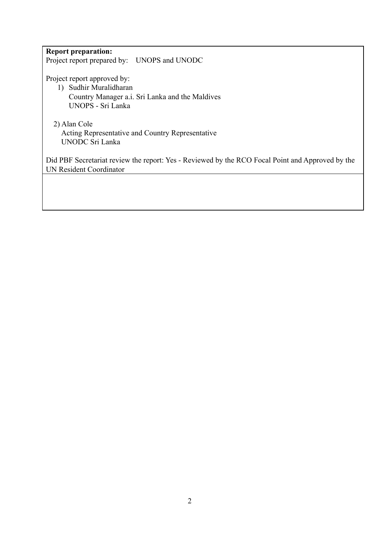## **Report preparation:**

Project report prepared by: UNOPS and UNODC

Project report approved by:

- 1) Sudhir Muralidharan
	- Country Manager a.i. Sri Lanka and the Maldives UNOPS - Sri Lanka

## 2) Alan Cole

Acting Representative and Country Representative UNODC Sri Lanka

Did PBF Secretariat review the report: Yes - Reviewed by the RCO Focal Point and Approved by the UN Resident Coordinator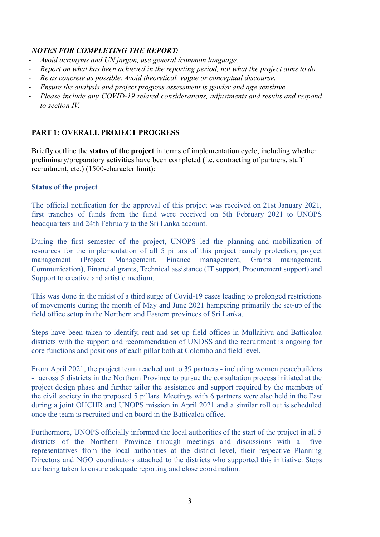## *NOTES FOR COMPLETING THE REPORT:*

- *- Avoid acronyms and UN jargon, use general /common language.*
- *- Report on what has been achieved in the reporting period, not what the project aims to do.*
- *- Be as concrete as possible. Avoid theoretical, vague or conceptual discourse.*
- *- Ensure the analysis and project progress assessment is gender and age sensitive.*
- *- Please include any COVID-19 related considerations, adjustments and results and respond to section IV.*

# **PART 1: OVERALL PROJECT PROGRESS**

Briefly outline the **status of the project** in terms of implementation cycle, including whether preliminary/preparatory activities have been completed (i.e. contracting of partners, staff recruitment, etc.) (1500-character limit):

# **Status of the project**

The official notification for the approval of this project was received on 21st January 2021, first tranches of funds from the fund were received on 5th February 2021 to UNOPS headquarters and 24th February to the Sri Lanka account.

During the first semester of the project, UNOPS led the planning and mobilization of resources for the implementation of all 5 pillars of this project namely protection, project management (Project Management, Finance management, Grants management, Communication), Financial grants, Technical assistance (IT support, Procurement support) and Support to creative and artistic medium.

This was done in the midst of a third surge of Covid-19 cases leading to prolonged restrictions of movements during the month of May and June 2021 hampering primarily the set-up of the field office setup in the Northern and Eastern provinces of Sri Lanka.

Steps have been taken to identify, rent and set up field offices in Mullaitivu and Batticaloa districts with the support and recommendation of UNDSS and the recruitment is ongoing for core functions and positions of each pillar both at Colombo and field level.

From April 2021, the project team reached out to 39 partners - including women peacebuilders - across 5 districts in the Northern Province to pursue the consultation process initiated at the project design phase and further tailor the assistance and support required by the members of the civil society in the proposed 5 pillars. Meetings with 6 partners were also held in the East during a joint OHCHR and UNOPS mission in April 2021 and a similar roll out is scheduled once the team is recruited and on board in the Batticaloa office.

Furthermore, UNOPS officially informed the local authorities of the start of the project in all 5 districts of the Northern Province through meetings and discussions with all five representatives from the local authorities at the district level, their respective Planning Directors and NGO coordinators attached to the districts who supported this initiative. Steps are being taken to ensure adequate reporting and close coordination.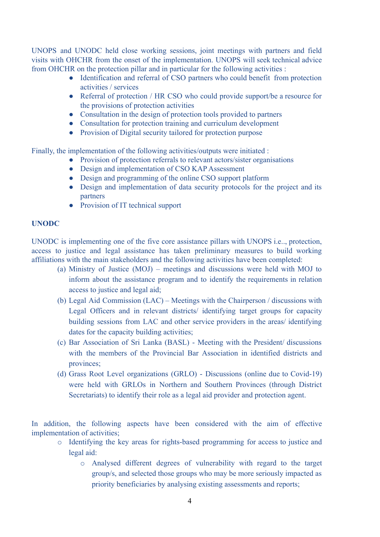UNOPS and UNODC held close working sessions, joint meetings with partners and field visits with OHCHR from the onset of the implementation. UNOPS will seek technical advice from OHCHR on the protection pillar and in particular for the following activities :

- Identification and referral of CSO partners who could benefit from protection activities / services
- Referral of protection / HR CSO who could provide support/be a resource for the provisions of protection activities
- Consultation in the design of protection tools provided to partners
- Consultation for protection training and curriculum development
- Provision of Digital security tailored for protection purpose

Finally, the implementation of the following activities/outputs were initiated :

- Provision of protection referrals to relevant actors/sister organisations
- Design and implementation of CSO KAP Assessment
- Design and programming of the online CSO support platform
- Design and implementation of data security protocols for the project and its partners
- Provision of IT technical support

## **UNODC**

UNODC is implementing one of the five core assistance pillars with UNOPS i.e.., protection, access to justice and legal assistance has taken preliminary measures to build working affiliations with the main stakeholders and the following activities have been completed:

- (a) Ministry of Justice (MOJ) meetings and discussions were held with MOJ to inform about the assistance program and to identify the requirements in relation access to justice and legal aid;
- (b) Legal Aid Commission (LAC) Meetings with the Chairperson / discussions with Legal Officers and in relevant districts/ identifying target groups for capacity building sessions from LAC and other service providers in the areas/ identifying dates for the capacity building activities;
- (c) Bar Association of Sri Lanka (BASL) Meeting with the President/ discussions with the members of the Provincial Bar Association in identified districts and provinces;
- (d) Grass Root Level organizations (GRLO) Discussions (online due to Covid-19) were held with GRLOs in Northern and Southern Provinces (through District Secretariats) to identify their role as a legal aid provider and protection agent.

In addition, the following aspects have been considered with the aim of effective implementation of activities;

- o Identifying the key areas for rights-based programming for access to justice and legal aid:
	- o Analysed different degrees of vulnerability with regard to the target group/s, and selected those groups who may be more seriously impacted as priority beneficiaries by analysing existing assessments and reports;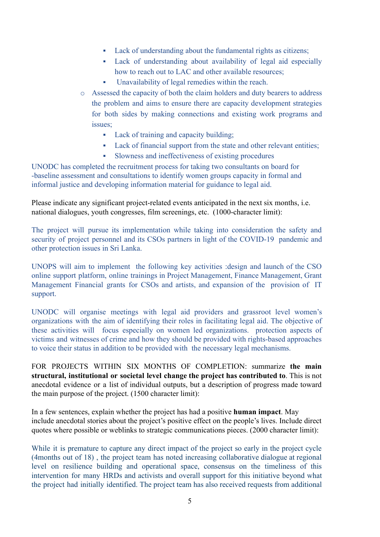- Lack of understanding about the fundamental rights as citizens;
- Lack of understanding about availability of legal aid especially how to reach out to LAC and other available resources;
- Unavailability of legal remedies within the reach.
- o Assessed the capacity of both the claim holders and duty bearers to address the problem and aims to ensure there are capacity development strategies for both sides by making connections and existing work programs and issues;
	- Lack of training and capacity building;
	- Lack of financial support from the state and other relevant entities;
	- Slowness and ineffectiveness of existing procedures

UNODC has completed the recruitment process for taking two consultants on board for -baseline assessment and consultations to identify women groups capacity in formal and informal justice and developing information material for guidance to legal aid.

Please indicate any significant project-related events anticipated in the next six months, i.e. national dialogues, youth congresses, film screenings, etc. (1000-character limit):

The project will pursue its implementation while taking into consideration the safety and security of project personnel and its CSOs partners in light of the COVID-19 pandemic and other protection issues in Sri Lanka.

UNOPS will aim to implement the following key activities :design and launch of the CSO online support platform, online trainings in Project Management, Finance Management, Grant Management Financial grants for CSOs and artists, and expansion of the provision of IT support.

UNODC will organise meetings with legal aid providers and grassroot level women's organizations with the aim of identifying their roles in facilitating legal aid. The objective of these activities will focus especially on women led organizations. protection aspects of victims and witnesses of crime and how they should be provided with rights-based approaches to voice their status in addition to be provided with the necessary legal mechanisms.

FOR PROJECTS WITHIN SIX MONTHS OF COMPLETION: summarize **the main structural, institutional or societal level change the project has contributed to**. This is not anecdotal evidence or a list of individual outputs, but a description of progress made toward the main purpose of the project. (1500 character limit):

In a few sentences, explain whether the project has had a positive **human impact**. May include anecdotal stories about the project's positive effect on the people's lives. Include direct quotes where possible or weblinks to strategic communications pieces. (2000 character limit):

While it is premature to capture any direct impact of the project so early in the project cycle (4months out of 18) , the project team has noted increasing collaborative dialogue at regional level on resilience building and operational space, consensus on the timeliness of this intervention for many HRDs and activists and overall support for this initiative beyond what the project had initially identified. The project team has also received requests from additional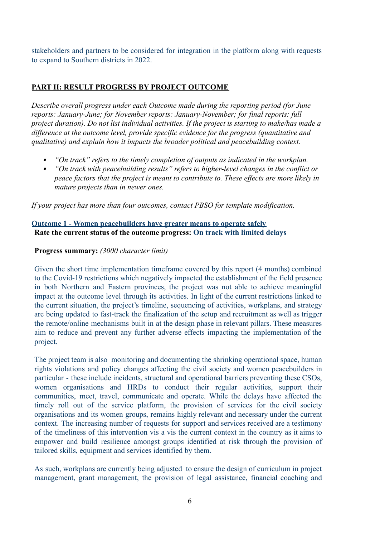stakeholders and partners to be considered for integration in the platform along with requests to expand to Southern districts in 2022.

## **PART II: RESULT PROGRESS BY PROJECT OUTCOME**

*Describe overall progress under each Outcome made during the reporting period (for June reports: January-June; for November reports: January-November; for final reports: full project duration). Do not list individual activities. If the project is starting to make/has made a difference at the outcome level, provide specific evidence for the progress (quantitative and qualitative) and explain how it impacts the broader political and peacebuilding context.*

- ▪*"On track" refers to the timely completion of outputs as indicated in the workplan.*
- $\blacksquare$  *"On track with peacebuilding results" refers to higher-level changes in the conflict or peace factors that the project is meant to contribute to. These effects are more likely in mature projects than in newer ones.*

*If your project has more than four outcomes, contact PBSO for template modification.*

## **Outcome 1 - Women peacebuilders have greater means to operate safely Rate the current status of the outcome progress: On track with limited delays**

#### **Progress summary:** *(3000 character limit)*

Given the short time implementation timeframe covered by this report (4 months) combined to the Covid-19 restrictions which negatively impacted the establishment of the field presence in both Northern and Eastern provinces, the project was not able to achieve meaningful impact at the outcome level through its activities. In light of the current restrictions linked to the current situation, the project's timeline, sequencing of activities, workplans, and strategy are being updated to fast-track the finalization of the setup and recruitment as well as trigger the remote/online mechanisms built in at the design phase in relevant pillars. These measures aim to reduce and prevent any further adverse effects impacting the implementation of the project.

The project team is also monitoring and documenting the shrinking operational space, human rights violations and policy changes affecting the civil society and women peacebuilders in particular - these include incidents, structural and operational barriers preventing these CSOs, women organisations and HRDs to conduct their regular activities, support their communities, meet, travel, communicate and operate. While the delays have affected the timely roll out of the service platform, the provision of services for the civil society organisations and its women groups, remains highly relevant and necessary under the current context. The increasing number of requests for support and services received are a testimony of the timeliness of this intervention vis a vis the current context in the country as it aims to empower and build resilience amongst groups identified at risk through the provision of tailored skills, equipment and services identified by them.

As such, workplans are currently being adjusted to ensure the design of curriculum in project management, grant management, the provision of legal assistance, financial coaching and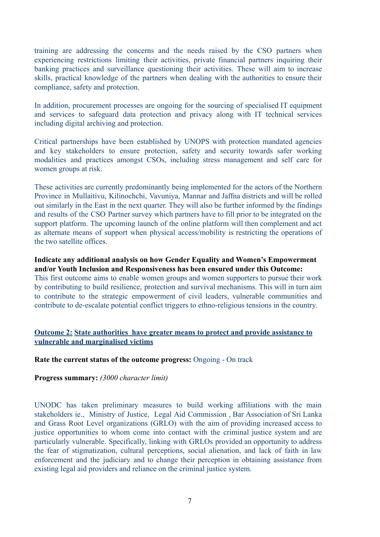training are addressing the concerns and the needs raised by the CSO partners when experiencing restrictions limiting their activities, private financial partners inquiring their banking practices and surveillance questioning their activities. These will aim to increase skills, practical knowledge of the partners when dealing with the authorities to ensure their compliance, safety and protection.

In addition, procurement processes are ongoing for the sourcing of specialised IT equipment and services to safeguard data protection and privacy along with IT technical services including digital archiving and protection.

Critical partnerships have been established by UNOPS with protection mandated agencies and key stakeholders to ensure protection, safety and security towards safer working modalities and practices amongst CSOs, including stress management and self care for women groups at risk.

These activities are currently predominantly being implemented for the actors of the Northern Province in Mullaitivu, Kilinochchi, Vavuniya, Mannar and Jaffna districts and will be rolled out similarly in the East in the next quarter. They will also be further informed by the findings and results of the CSO Partner survey which partners have to fill prior to be integrated on the support platform. The upcoming launch of the online platform will then complement and act as alternate means of support when physical access/mobility is restricting the operations of the two satellite offices.

**Indicate any additional analysis on how Gender Equality and Women's Empowerment and/or Youth Inclusion and Responsiveness has been ensured under this Outcome:** This first outcome aims to enable women groups and women supporters to pursue their work

by contributing to build resilience, protection and survival mechanisms. This will in turn aim to contribute to the strategic empowerment of civil leaders, vulnerable communities and contribute to de-escalate potential conflict triggers to ethno-religious tensions in the country.

## **Outcome 2: State authorities have greater means to protect and provide assistance to vulnerable and marginalised victims**

#### **Rate the current status of the outcome progress:** Ongoing - On track

#### **Progress summary:** *(3000 character limit)*

UNODC has taken preliminary measures to build working affiliations with the main stakeholders ie., Ministry of Justice, Legal Aid Commission , Bar Association of Sri Lanka and Grass Root Level organizations (GRLO) with the aim of providing increased access to justice opportunities to whom come into contact with the criminal justice system and are particularly vulnerable. Specifically, linking with GRLOs provided an opportunity to address the fear of stigmatization, cultural perceptions, social alienation, and lack of faith in law enforcement and the judiciary and to change their perception in obtaining assistance from existing legal aid providers and reliance on the criminal justice system.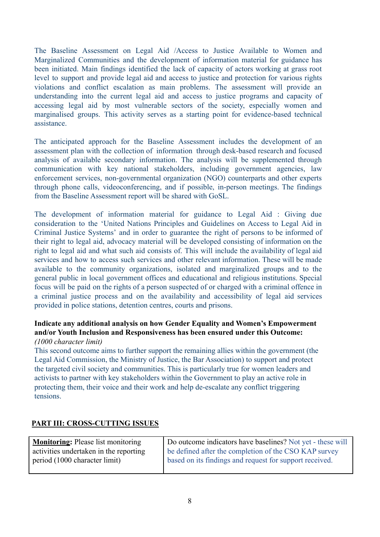The Baseline Assessment on Legal Aid /Access to Justice Available to Women and Marginalized Communities and the development of information material for guidance has been initiated. Main findings identified the lack of capacity of actors working at grass root level to support and provide legal aid and access to justice and protection for various rights violations and conflict escalation as main problems. The assessment will provide an understanding into the current legal aid and access to justice programs and capacity of accessing legal aid by most vulnerable sectors of the society, especially women and marginalised groups. This activity serves as a starting point for evidence-based technical assistance.

The anticipated approach for the Baseline Assessment includes the development of an assessment plan with the collection of information through desk-based research and focused analysis of available secondary information. The analysis will be supplemented through communication with key national stakeholders, including government agencies, law enforcement services, non-governmental organization (NGO) counterparts and other experts through phone calls, videoconferencing, and if possible, in-person meetings. The findings from the Baseline Assessment report will be shared with GoSL.

The development of information material for guidance to Legal Aid : Giving due consideration to the 'United Nations Principles and Guidelines on Access to Legal Aid in Criminal Justice Systems' and in order to guarantee the right of persons to be informed of their right to legal aid, advocacy material will be developed consisting of information on the right to legal aid and what such aid consists of. This will include the availability of legal aid services and how to access such services and other relevant information. These will be made available to the community organizations, isolated and marginalized groups and to the general public in local government offices and educational and religious institutions. Special focus will be paid on the rights of a person suspected of or charged with a criminal offence in a criminal justice process and on the availability and accessibility of legal aid services provided in police stations, detention centres, courts and prisons.

#### **Indicate any additional analysis on how Gender Equality and Women's Empowerment and/or Youth Inclusion and Responsiveness has been ensured under this Outcome:** *(1000 character limit)*

This second outcome aims to further support the remaining allies within the government (the Legal Aid Commission, the Ministry of Justice, the Bar Association) to support and protect the targeted civil society and communities. This is particularly true for women leaders and activists to partner with key stakeholders within the Government to play an active role in protecting them, their voice and their work and help de-escalate any conflict triggering tensions.

# **PART III: CROSS-CUTTING ISSUES**

| <b>Monitoring:</b> Please list monitoring | Do outcome indicators have baselines? Not yet - these will |
|-------------------------------------------|------------------------------------------------------------|
| activities undertaken in the reporting    | be defined after the completion of the CSO KAP survey      |
| period (1000 character limit)             | based on its findings and request for support received.    |
|                                           |                                                            |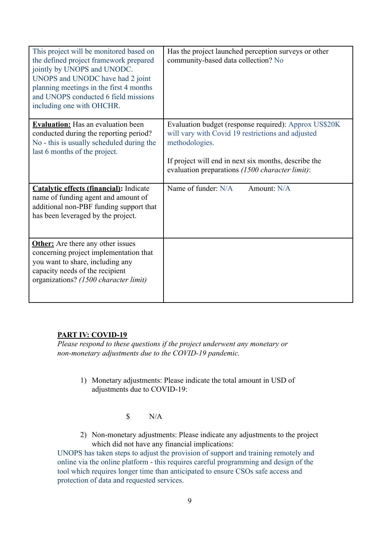| This project will be monitored based on<br>the defined project framework prepared<br>jointly by UNOPS and UNODC.<br>UNOPS and UNODC have had 2 joint<br>planning meetings in the first 4 months<br>and UNOPS conducted 6 field missions<br>including one with OHCHR. | Has the project launched perception surveys or other<br>community-based data collection? No                                                                                                                                             |
|----------------------------------------------------------------------------------------------------------------------------------------------------------------------------------------------------------------------------------------------------------------------|-----------------------------------------------------------------------------------------------------------------------------------------------------------------------------------------------------------------------------------------|
| <b>Evaluation:</b> Has an evaluation been<br>conducted during the reporting period?<br>No - this is usually scheduled during the<br>last 6 months of the project.                                                                                                    | Evaluation budget (response required): Approx US\$20K<br>will vary with Covid 19 restrictions and adjusted<br>methodologies.<br>If project will end in next six months, describe the<br>evaluation preparations (1500 character limit): |
| <b>Catalytic effects (financial):</b> Indicate<br>name of funding agent and amount of<br>additional non-PBF funding support that<br>has been leveraged by the project.                                                                                               | Name of funder: N/A<br>Amount: N/A                                                                                                                                                                                                      |
| <b>Other:</b> Are there any other issues<br>concerning project implementation that<br>you want to share, including any<br>capacity needs of the recipient<br>organizations? (1500 character limit)                                                                   |                                                                                                                                                                                                                                         |

## **PART IV: COVID-19**

*Please respond to these questions if the project underwent any monetary or non-monetary adjustments due to the COVID-19 pandemic.*

- 1) Monetary adjustments: Please indicate the total amount in USD of adjustments due to COVID-19:
	- $\mathcal{S}$  N/A
- 2) Non-monetary adjustments: Please indicate any adjustments to the project which did not have any financial implications:

UNOPS has taken steps to adjust the provision of support and training remotely and online via the online platform - this requires careful programming and design of the tool which requires longer time than anticipated to ensure CSOs safe access and protection of data and requested services.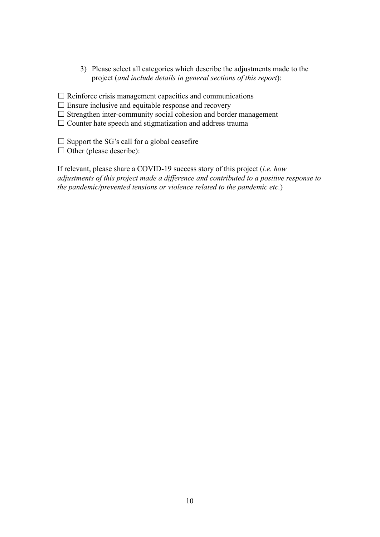3) Please select all categories which describe the adjustments made to the project (*and include details in general sections of this report*):

 $\Box$  Reinforce crisis management capacities and communications

 $\Box$  Ensure inclusive and equitable response and recovery

 $\Box$  Strengthen inter-community social cohesion and border management

 $\Box$  Counter hate speech and stigmatization and address trauma

 $\Box$  Support the SG's call for a global ceasefire

 $\Box$  Other (please describe):

If relevant, please share a COVID-19 success story of this project (*i.e. how adjustments of this project made a difference and contributed to a positive response to the pandemic/prevented tensions or violence related to the pandemic etc.*)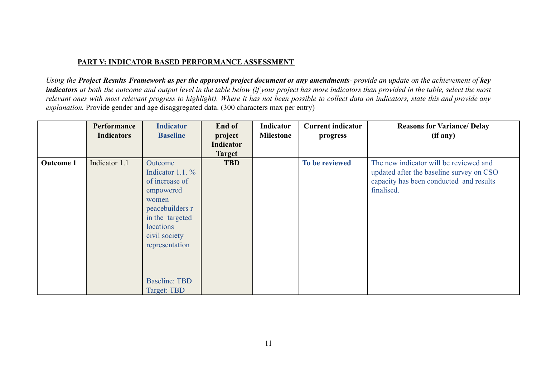## **PART V: INDICATOR BASED PERFORMANCE ASSESSMENT**

Using the Project Results Framework as per the approved project document or any amendments- provide an update on the achievement of key indicators at both the outcome and output level in the table below (if your project has more indicators than provided in the table, select the most relevant ones with most relevant progress to highlight). Where it has not been possible to collect data on indicators, state this and provide any *explanation.* Provide gender and age disaggregated data. (300 characters max per entry)

|                  | <b>Performance</b><br><b>Indicators</b> | <b>Indicator</b><br><b>Baseline</b>                                                                                                                          | End of<br>project          | Indicator<br><b>Milestone</b> | <b>Current indicator</b><br>progress | <b>Reasons for Variance/ Delay</b><br>(if any)                                                                                              |
|------------------|-----------------------------------------|--------------------------------------------------------------------------------------------------------------------------------------------------------------|----------------------------|-------------------------------|--------------------------------------|---------------------------------------------------------------------------------------------------------------------------------------------|
|                  |                                         |                                                                                                                                                              | Indicator<br><b>Target</b> |                               |                                      |                                                                                                                                             |
| <b>Outcome 1</b> | Indicator 1.1                           | Outcome<br>Indicator 1.1. $\%$<br>of increase of<br>empowered<br>women<br>peacebuilders r<br>in the targeted<br>locations<br>civil society<br>representation | <b>TBD</b>                 |                               | To be reviewed                       | The new indicator will be reviewed and<br>updated after the baseline survey on CSO<br>capacity has been conducted and results<br>finalised. |
|                  |                                         | <b>Baseline: TBD</b><br>Target: TBD                                                                                                                          |                            |                               |                                      |                                                                                                                                             |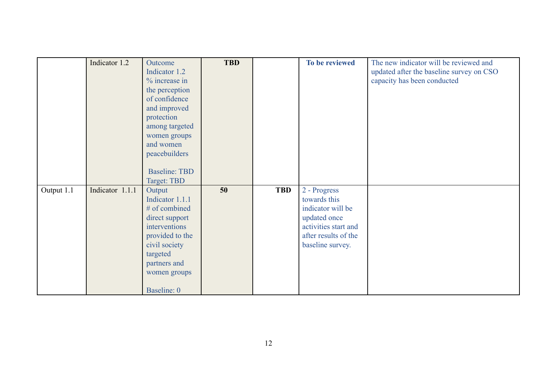|            | Indicator 1.2   | Outcome              | <b>TBD</b> |            | To be reviewed       | The new indicator will be reviewed and   |
|------------|-----------------|----------------------|------------|------------|----------------------|------------------------------------------|
|            |                 | Indicator 1.2        |            |            |                      | updated after the baseline survey on CSO |
|            |                 | % increase in        |            |            |                      | capacity has been conducted              |
|            |                 | the perception       |            |            |                      |                                          |
|            |                 | of confidence        |            |            |                      |                                          |
|            |                 | and improved         |            |            |                      |                                          |
|            |                 | protection           |            |            |                      |                                          |
|            |                 | among targeted       |            |            |                      |                                          |
|            |                 | women groups         |            |            |                      |                                          |
|            |                 | and women            |            |            |                      |                                          |
|            |                 | peacebuilders        |            |            |                      |                                          |
|            |                 |                      |            |            |                      |                                          |
|            |                 | <b>Baseline: TBD</b> |            |            |                      |                                          |
|            |                 | Target: TBD          |            |            |                      |                                          |
| Output 1.1 | Indicator 1.1.1 | Output               | 50         | <b>TBD</b> | 2 - Progress         |                                          |
|            |                 | Indicator 1.1.1      |            |            | towards this         |                                          |
|            |                 | # of combined        |            |            | indicator will be    |                                          |
|            |                 | direct support       |            |            | updated once         |                                          |
|            |                 | interventions        |            |            | activities start and |                                          |
|            |                 | provided to the      |            |            | after results of the |                                          |
|            |                 | civil society        |            |            | baseline survey.     |                                          |
|            |                 | targeted             |            |            |                      |                                          |
|            |                 | partners and         |            |            |                      |                                          |
|            |                 | women groups         |            |            |                      |                                          |
|            |                 |                      |            |            |                      |                                          |
|            |                 | Baseline: 0          |            |            |                      |                                          |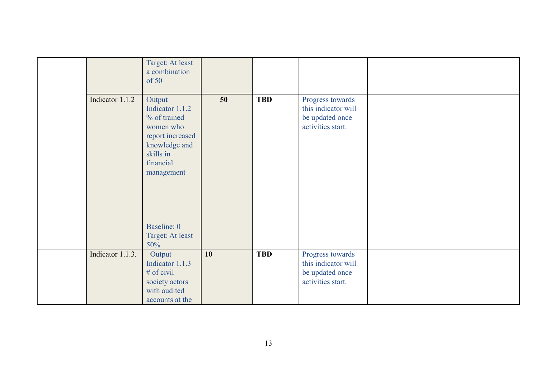|                  | Target: At least<br>a combination<br>of 50                                                                                          |    |            |                                                                                 |  |
|------------------|-------------------------------------------------------------------------------------------------------------------------------------|----|------------|---------------------------------------------------------------------------------|--|
| Indicator 1.1.2  | Output<br>Indicator 1.1.2<br>% of trained<br>women who<br>report increased<br>knowledge and<br>skills in<br>financial<br>management | 50 | <b>TBD</b> | Progress towards<br>this indicator will<br>be updated once<br>activities start. |  |
|                  | Baseline: 0<br>Target: At least<br>50%                                                                                              |    |            |                                                                                 |  |
| Indicator 1.1.3. | Output<br>Indicator 1.1.3<br>$#$ of civil<br>society actors<br>with audited<br>accounts at the                                      | 10 | <b>TBD</b> | Progress towards<br>this indicator will<br>be updated once<br>activities start. |  |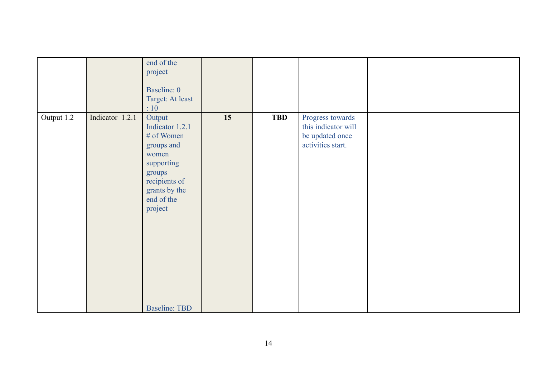|            |                 | end of the<br>project<br>Baseline: 0<br>Target: At least<br>:10                                                                                                           |    |            |                                                                                 |  |
|------------|-----------------|---------------------------------------------------------------------------------------------------------------------------------------------------------------------------|----|------------|---------------------------------------------------------------------------------|--|
| Output 1.2 | Indicator 1.2.1 | Output<br>Indicator 1.2.1<br># of Women<br>groups and<br>women<br>supporting<br>groups<br>recipients of<br>grants by the<br>end of the<br>project<br><b>Baseline: TBD</b> | 15 | <b>TBD</b> | Progress towards<br>this indicator will<br>be updated once<br>activities start. |  |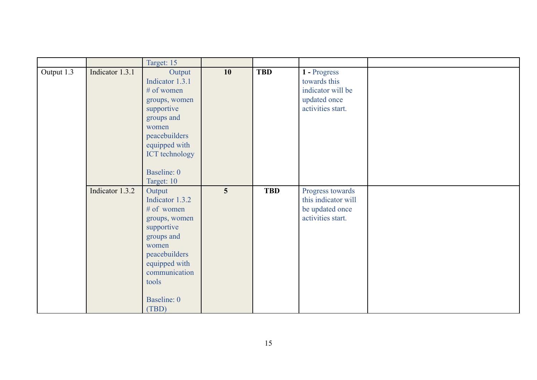|            |                 | Target: 15                                                                                                                                                                        |                |            |                                                                                        |  |
|------------|-----------------|-----------------------------------------------------------------------------------------------------------------------------------------------------------------------------------|----------------|------------|----------------------------------------------------------------------------------------|--|
| Output 1.3 | Indicator 1.3.1 | Output<br>Indicator 1.3.1<br># of women<br>groups, women<br>supportive<br>groups and<br>women<br>peacebuilders<br>equipped with<br>ICT technology<br>Baseline: 0<br>Target: 10    | 10             | <b>TBD</b> | 1 - Progress<br>towards this<br>indicator will be<br>updated once<br>activities start. |  |
|            | Indicator 1.3.2 | Output<br>Indicator 1.3.2<br># of women<br>groups, women<br>supportive<br>groups and<br>women<br>peacebuilders<br>equipped with<br>communication<br>tools<br>Baseline: 0<br>(TBD) | $\overline{5}$ | <b>TBD</b> | Progress towards<br>this indicator will<br>be updated once<br>activities start.        |  |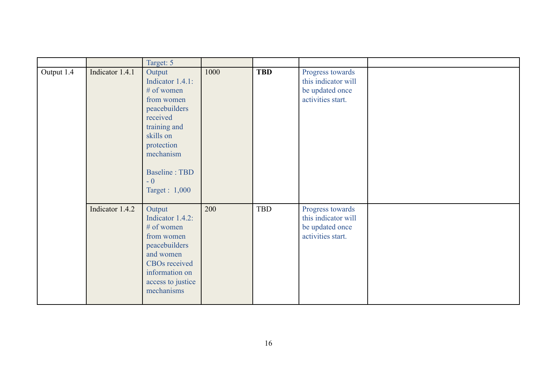|            |                 | Target: 5                                                                                                                                                                              |      |            |                                                                                 |  |
|------------|-----------------|----------------------------------------------------------------------------------------------------------------------------------------------------------------------------------------|------|------------|---------------------------------------------------------------------------------|--|
| Output 1.4 | Indicator 1.4.1 | Output<br>Indicator 1.4.1:<br># of women<br>from women<br>peacebuilders<br>received<br>training and<br>skills on<br>protection<br>mechanism<br>Baseline: TBD<br>$-0$<br>Target : 1,000 | 1000 | <b>TBD</b> | Progress towards<br>this indicator will<br>be updated once<br>activities start. |  |
|            | Indicator 1.4.2 | Output<br>Indicator 1.4.2:<br># of women<br>from women<br>peacebuilders<br>and women<br><b>CBOs</b> received<br>information on<br>access to justice<br>mechanisms                      | 200  | TBD        | Progress towards<br>this indicator will<br>be updated once<br>activities start. |  |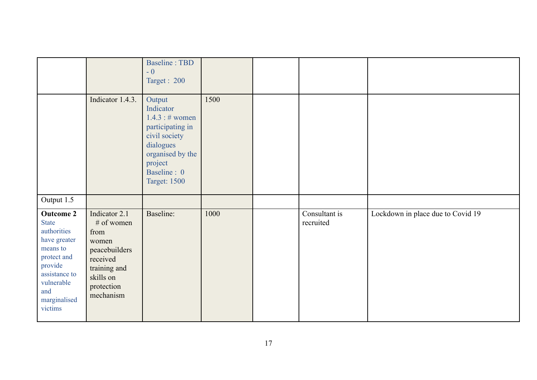|                                                                                                                                                                        |                                                                                                                                   | <b>Baseline: TBD</b><br>$-0$<br>Target: 200                                                                                                                   |      |                            |                                   |
|------------------------------------------------------------------------------------------------------------------------------------------------------------------------|-----------------------------------------------------------------------------------------------------------------------------------|---------------------------------------------------------------------------------------------------------------------------------------------------------------|------|----------------------------|-----------------------------------|
|                                                                                                                                                                        | Indicator 1.4.3.                                                                                                                  | Output<br>Indicator<br>1.4.3 : # women<br>participating in<br>civil society<br>dialogues<br>organised by the<br>project<br>Baseline: 0<br><b>Target: 1500</b> | 1500 |                            |                                   |
| Output 1.5                                                                                                                                                             |                                                                                                                                   |                                                                                                                                                               |      |                            |                                   |
| <b>Outcome 2</b><br><b>State</b><br>authorities<br>have greater<br>means to<br>protect and<br>provide<br>assistance to<br>vulnerable<br>and<br>marginalised<br>victims | Indicator 2.1<br># of women<br>from<br>women<br>peacebuilders<br>received<br>training and<br>skills on<br>protection<br>mechanism | Baseline:                                                                                                                                                     | 1000 | Consultant is<br>recruited | Lockdown in place due to Covid 19 |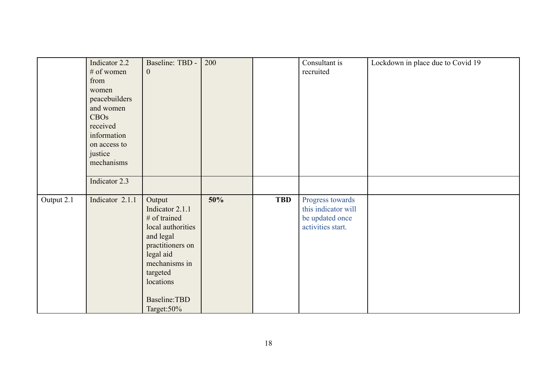|            | Indicator 2.2<br>$#$ of women<br>from<br>women<br>peacebuilders<br>and women<br><b>CBOs</b><br>received<br>information<br>on access to<br>justice<br>mechanisms | Baseline: TBD -<br>$\boldsymbol{0}$                                                                                                                                                    | 200 |            | Consultant is<br>recruited                                                      | Lockdown in place due to Covid 19 |
|------------|-----------------------------------------------------------------------------------------------------------------------------------------------------------------|----------------------------------------------------------------------------------------------------------------------------------------------------------------------------------------|-----|------------|---------------------------------------------------------------------------------|-----------------------------------|
|            | Indicator 2.3                                                                                                                                                   |                                                                                                                                                                                        |     |            |                                                                                 |                                   |
| Output 2.1 | Indicator 2.1.1                                                                                                                                                 | Output<br>Indicator 2.1.1<br># of trained<br>local authorities<br>and legal<br>practitioners on<br>legal aid<br>mechanisms in<br>targeted<br>locations<br>Baseline: TBD<br>Target: 50% | 50% | <b>TBD</b> | Progress towards<br>this indicator will<br>be updated once<br>activities start. |                                   |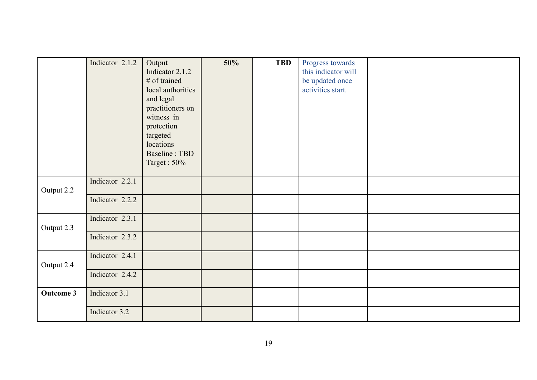|                  | Indicator 2.1.2                    | Output<br>Indicator 2.1.2<br># of trained<br>local authorities<br>and legal<br>practitioners on<br>witness in<br>protection | 50% | <b>TBD</b> | Progress towards<br>this indicator will<br>be updated once<br>activities start. |  |
|------------------|------------------------------------|-----------------------------------------------------------------------------------------------------------------------------|-----|------------|---------------------------------------------------------------------------------|--|
|                  |                                    | targeted<br>locations<br>Baseline: TBD<br>Target: 50%                                                                       |     |            |                                                                                 |  |
| Output 2.2       | Indicator 2.2.1<br>Indicator 2.2.2 |                                                                                                                             |     |            |                                                                                 |  |
|                  |                                    |                                                                                                                             |     |            |                                                                                 |  |
| Output 2.3       | Indicator 2.3.1                    |                                                                                                                             |     |            |                                                                                 |  |
|                  | Indicator 2.3.2                    |                                                                                                                             |     |            |                                                                                 |  |
| Output 2.4       | Indicator 2.4.1                    |                                                                                                                             |     |            |                                                                                 |  |
|                  | Indicator 2.4.2                    |                                                                                                                             |     |            |                                                                                 |  |
| <b>Outcome 3</b> | Indicator 3.1                      |                                                                                                                             |     |            |                                                                                 |  |
|                  | Indicator 3.2                      |                                                                                                                             |     |            |                                                                                 |  |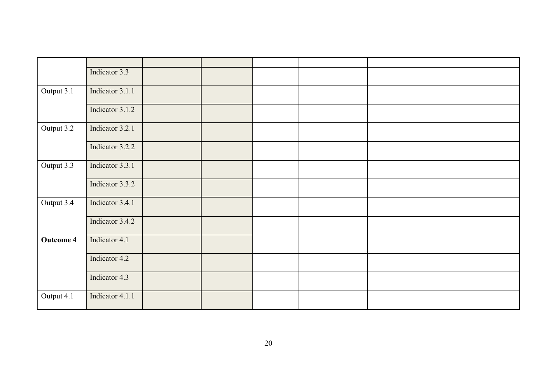|                  | Indicator 3.3   |  |  |  |
|------------------|-----------------|--|--|--|
| Output 3.1       | Indicator 3.1.1 |  |  |  |
|                  | Indicator 3.1.2 |  |  |  |
| Output 3.2       | Indicator 3.2.1 |  |  |  |
|                  | Indicator 3.2.2 |  |  |  |
| Output 3.3       | Indicator 3.3.1 |  |  |  |
|                  | Indicator 3.3.2 |  |  |  |
| Output 3.4       | Indicator 3.4.1 |  |  |  |
|                  | Indicator 3.4.2 |  |  |  |
| <b>Outcome 4</b> | Indicator 4.1   |  |  |  |
|                  | Indicator 4.2   |  |  |  |
|                  | Indicator 4.3   |  |  |  |
| Output 4.1       | Indicator 4.1.1 |  |  |  |